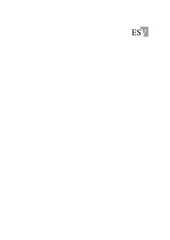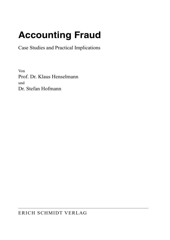## **Accounting Fraud**

Case Studies and Practical Implications

Von Prof. Dr. Klaus Henselmann und Dr. Stefan Hofmann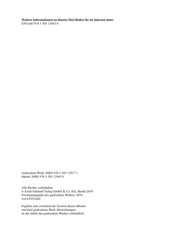**Weitere Informationen zu diesem Titel finden Sie im Internet unter**  ESV. info /978 3 503 12943 0

Gedrucktes Werk: ISBN 978 3 503 12917 1 eBook: ISBN 978 3 503 12943 0

Alle Rechte vorbehalten © Erich Schmidt Verlag GmbH & Co. KG, Berlin 2010 Erscheinungsjahr des gedruckten Werkes: 2010 www.ESV.info

Ergeben sich zwischen der Version dieses eBooks und dem gedruckten Werk Abweichungen, ist der Inhalt des gedruckten Werkes verbindlich.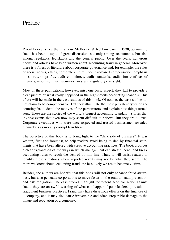## Preface

Probably ever since the infamous McKesson & Robbins case in 1938, accounting fraud has been a topic of great discussion, not only among accountants, but also among regulators, legislators and the general public. Over the years, numerous books and articles have been written about accounting fraud in general. Moreover, there is a forest of literature about corporate governance and, for example, the roles of social norms, ethics, corporate culture, incentive-based compensation, emphasis on short-term profits, audit committees, audit standards, audit firm conflicts of interests, reporting rules, securities laws, and regulatory oversight.

Most of these publications, however, miss one basic aspect: they fail to provide a clear picture of what really happened in the high-profile accounting scandals. This effort will be made in the case studies of this book. Of course, the case studies do not claim to be comprehensive. But they illuminate the most prevalent types of accounting fraud, detail the motives of the perpetrators, and explain how things turned sour. These are the stories of the world's biggest accounting scandals – stories that involve events that even now may seem difficult to believe. But they are all true. Corporate executives who were once respected and trusted businessmen revealed themselves as morally corrupt fraudsters.

The objective of this book is to bring light to the "dark side of business". It was written, first and foremost, to help readers avoid being misled by financial statements that have been altered with creative accounting practices. The book provides a clear explanation of the ways in which management can stretch, bend, and break accounting rules to reach the desired bottom line. Thus, it will assist readers to identify those situations where reported results may not be what they seem. The more we know about accounting fraud, the less likely we are to become victims.

Besides, the authors are hopeful that this book will not only enhance fraud awareness, but also persuade corporations to move faster on the road to fraud prevention and risk mitigation. The case studies highlight the urgent need for action against fraud; they are an awful warning of what can happen if poor leadership results in fraudulent business practices. Fraud may have disastrous effects on the finances of a company, and it may also cause irreversible and often irreparable damage to the image and reputation of a company.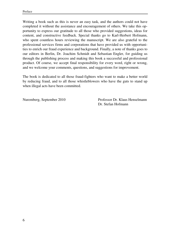Writing a book such as this is never an easy task, and the authors could not have completed it without the assistance and encouragement of others. We take this opportunity to express our gratitude to all those who provided suggestions, ideas for content, and constructive feedback. Special thanks go to Karl-Herbert Hofmann, who spent countless hours reviewing the manuscript. We are also grateful to the professional services firms and corporations that have provided us with opportunities to enrich our fraud experience and background. Finally, a note of thanks goes to our editors in Berlin, Dr. Joachim Schmidt and Sebastian Engler, for guiding us through the publishing process and making this book a successful and professional product. Of course, we accept final responsibility for every word, right or wrong, and we welcome your comments, questions, and suggestions for improvement.

The book is dedicated to all those fraud-fighters who want to make a better world by reducing fraud, and to all those whistleblowers who have the guts to stand up when illegal acts have been committed.

Nuremberg, September 2010 Professor Dr. Klaus Henselmann Dr. Stefan Hofmann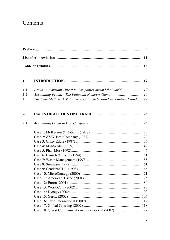## Contents

| 1.  |                                                                 | 17       |  |  |  |
|-----|-----------------------------------------------------------------|----------|--|--|--|
| 1.1 | Fraud: A Constant Threat to Companies around the World          | 17       |  |  |  |
| 1.2 | Accounting Fraud: "The Financial Numbers Game"                  | 19       |  |  |  |
| 1.3 | The Case Method: A Valuable Tool to Understand Accounting Fraud | 22       |  |  |  |
| 2.  |                                                                 | 25       |  |  |  |
| 2.1 |                                                                 | 25       |  |  |  |
|     |                                                                 | 25       |  |  |  |
|     |                                                                 | 29       |  |  |  |
|     |                                                                 | 36       |  |  |  |
|     |                                                                 | 42       |  |  |  |
|     |                                                                 | 46       |  |  |  |
|     |                                                                 | 51       |  |  |  |
|     |                                                                 | 55       |  |  |  |
|     |                                                                 | 61       |  |  |  |
|     |                                                                 | 66       |  |  |  |
|     |                                                                 | 71       |  |  |  |
|     |                                                                 | 75<br>80 |  |  |  |
|     |                                                                 | 93       |  |  |  |
|     |                                                                 | 102      |  |  |  |
|     |                                                                 | 106      |  |  |  |
|     |                                                                 | 112      |  |  |  |
|     |                                                                 | 118      |  |  |  |
|     | Case 18: Qwest Communications International (2002)              | 122      |  |  |  |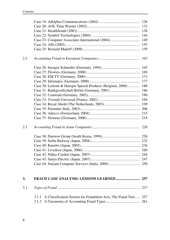| 2.2 |                                                                          |     |
|-----|--------------------------------------------------------------------------|-----|
|     |                                                                          | 165 |
|     |                                                                          |     |
|     |                                                                          |     |
|     |                                                                          |     |
|     | Case 30: Lernout & Hauspie Speech Products (Belgium, 2000)               | 180 |
|     |                                                                          | 186 |
|     |                                                                          |     |
|     |                                                                          |     |
|     |                                                                          |     |
|     |                                                                          |     |
|     |                                                                          |     |
|     |                                                                          |     |
| 2.3 |                                                                          |     |
|     |                                                                          |     |
|     |                                                                          |     |
|     |                                                                          |     |
|     |                                                                          |     |
|     |                                                                          |     |
|     |                                                                          |     |
|     |                                                                          |     |
| 3.  |                                                                          |     |
| 3.1 |                                                                          |     |
|     | A Classification System for Fraudulent Acts: The Fraud Tree 257<br>3.1.1 |     |
|     | 3.1.2                                                                    |     |